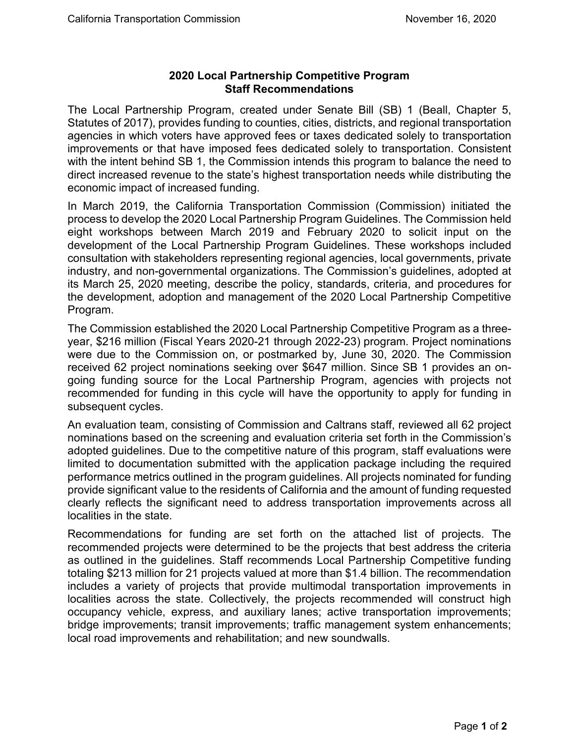## **2020 Local Partnership Competitive Program Staff Recommendations**

The Local Partnership Program, created under Senate Bill (SB) 1 (Beall, Chapter 5, Statutes of 2017), provides funding to counties, cities, districts, and regional transportation agencies in which voters have approved fees or taxes dedicated solely to transportation improvements or that have imposed fees dedicated solely to transportation. Consistent with the intent behind SB 1, the Commission intends this program to balance the need to direct increased revenue to the state's highest transportation needs while distributing the economic impact of increased funding.

In March 2019, the California Transportation Commission (Commission) initiated the process to develop the 2020 Local Partnership Program Guidelines. The Commission held eight workshops between March 2019 and February 2020 to solicit input on the development of the Local Partnership Program Guidelines. These workshops included consultation with stakeholders representing regional agencies, local governments, private industry, and non-governmental organizations. The Commission's guidelines, adopted at its March 25, 2020 meeting, describe the policy, standards, criteria, and procedures for the development, adoption and management of the 2020 Local Partnership Competitive Program.

The Commission established the 2020 Local Partnership Competitive Program as a threeyear, \$216 million (Fiscal Years 2020-21 through 2022-23) program. Project nominations were due to the Commission on, or postmarked by, June 30, 2020. The Commission received 62 project nominations seeking over \$647 million. Since SB 1 provides an ongoing funding source for the Local Partnership Program, agencies with projects not recommended for funding in this cycle will have the opportunity to apply for funding in subsequent cycles.

An evaluation team, consisting of Commission and Caltrans staff, reviewed all 62 project nominations based on the screening and evaluation criteria set forth in the Commission's adopted guidelines. Due to the competitive nature of this program, staff evaluations were limited to documentation submitted with the application package including the required performance metrics outlined in the program guidelines. All projects nominated for funding provide significant value to the residents of California and the amount of funding requested clearly reflects the significant need to address transportation improvements across all localities in the state.

Recommendations for funding are set forth on the attached list of projects. The recommended projects were determined to be the projects that best address the criteria as outlined in the guidelines. Staff recommends Local Partnership Competitive funding totaling \$213 million for 21 projects valued at more than \$1.4 billion. The recommendation includes a variety of projects that provide multimodal transportation improvements in localities across the state. Collectively, the projects recommended will construct high occupancy vehicle, express, and auxiliary lanes; active transportation improvements; bridge improvements; transit improvements; traffic management system enhancements; local road improvements and rehabilitation; and new soundwalls.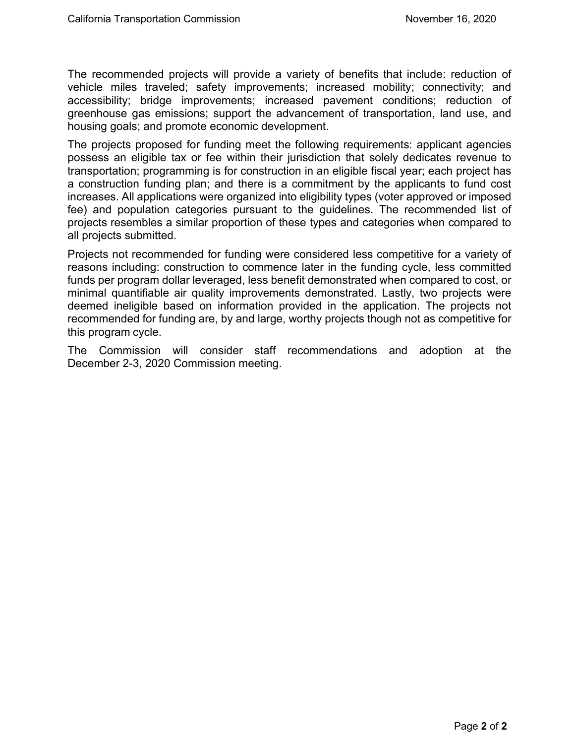The recommended projects will provide a variety of benefits that include: reduction of vehicle miles traveled; safety improvements; increased mobility; connectivity; and accessibility; bridge improvements; increased pavement conditions; reduction of greenhouse gas emissions; support the advancement of transportation, land use, and housing goals; and promote economic development.

The projects proposed for funding meet the following requirements: applicant agencies possess an eligible tax or fee within their jurisdiction that solely dedicates revenue to transportation; programming is for construction in an eligible fiscal year; each project has a construction funding plan; and there is a commitment by the applicants to fund cost increases. All applications were organized into eligibility types (voter approved or imposed fee) and population categories pursuant to the guidelines. The recommended list of projects resembles a similar proportion of these types and categories when compared to all projects submitted.

Projects not recommended for funding were considered less competitive for a variety of reasons including: construction to commence later in the funding cycle, less committed funds per program dollar leveraged, less benefit demonstrated when compared to cost, or minimal quantifiable air quality improvements demonstrated. Lastly, two projects were deemed ineligible based on information provided in the application. The projects not recommended for funding are, by and large, worthy projects though not as competitive for this program cycle.

The Commission will consider staff recommendations and adoption at the December 2-3, 2020 Commission meeting.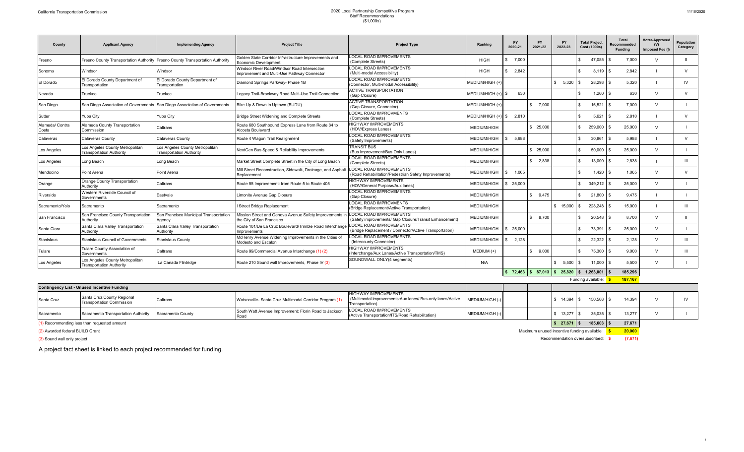## California Transportation Commission 2020 Local Partnership Competitive Program<br>Staff Recommendations<br>(\$1,000s))

| County                   | <b>Applicant Agency</b>                                            | <b>Implementing Agency</b>                                                    | <b>Project Title</b>                                                                        | <b>Project Type</b>                                                                      | Ranking            | <b>FY</b><br>2020-21 | <b>FY</b><br>2021-22 | <b>FY</b><br>2022-23 | <b>Total Project</b><br>Cost (1000s)                        | <b>Total</b><br>Recommended<br>Fundina | <b>Voter-Approved</b><br>(V)<br>Imposed Fee (I) | <b>Population</b><br>Category |
|--------------------------|--------------------------------------------------------------------|-------------------------------------------------------------------------------|---------------------------------------------------------------------------------------------|------------------------------------------------------------------------------------------|--------------------|----------------------|----------------------|----------------------|-------------------------------------------------------------|----------------------------------------|-------------------------------------------------|-------------------------------|
| Fresno                   |                                                                    | Fresno County Transportation Authority Fresno County Transportation Authority | Golden State Corridor Infrastructure Improvements and<br>Economic Development               | LOCAL ROAD IMPROVEMENTS<br>(Complete Streets)                                            | <b>HIGH</b>        | \$7.000              |                      |                      | 47,085 \$                                                   | 7.000                                  | $\mathcal{U}$                                   | $\mathbf{H}$                  |
| Sonoma                   | Windsor                                                            | Windsor                                                                       | Windsor River Road/Windsor Road Intersection<br>Improvement and Multi-Use Pathway Connector | <b>LOCAL ROAD IMPROVEMENTS</b><br>(Multi-modal Accessibility)                            | <b>HIGH</b>        | \$2,842              |                      |                      | $8,119$ \$                                                  | 2.842                                  |                                                 | $\vee$                        |
| El Dorado                | El Dorado County Department of<br>Transportation                   | El Dorado County Department of<br>Transportation                              | Diamond Springs Parkway- Phase 1B                                                           | <b>LOCAL ROAD IMPROVEMENTS</b><br>(Connector, Multi-modal Accessibility)                 | MEDIUM/HIGH (+     |                      |                      | \$5,320              | $28,293$ \$                                                 | 5,320                                  |                                                 | IV.                           |
| Nevada                   | Truckee                                                            | Truckee                                                                       | Legacy Trail-Brockway Road Multi-Use Trail Connection                                       | <b>ACTIVE TRANSPORTATION</b><br>(Gap Closure)                                            | MEDIUM/HIGH (+     | 630                  |                      |                      | $1,260$ \$                                                  | 630                                    | $\vee$                                          | $\vee$                        |
| San Diego                |                                                                    | San Diego Association of Governments San Diego Association of Governments     | Bike Up & Down in Uptown (BUDU)                                                             | <b>ACTIVE TRANSPORTATION</b><br>(Gap Closure, Connector)                                 | MEDIUM/HIGH (+     |                      | \$7.000              |                      | $16,521$ \$                                                 | 7.000                                  | $\vee$                                          |                               |
| Sutter                   | Yuba Citv                                                          | Yuba City                                                                     | Bridge Street Widening and Complete Streets                                                 | <b>LOCAL ROAD IMPROVMENTS</b><br>(Complete Streets)                                      | MEDIUM/HIGH (+     | 2.810                |                      |                      | 5,621                                                       | 2.810<br>l S                           |                                                 | $\vee$                        |
| Alameda/ Contra<br>Costa | Alameda County Transportation<br>Commission                        | Caltrans                                                                      | Route 680 Southbound Express Lane from Route 84 to<br>Alcosta Boulevard                     | <b>HIGHWAY IMPROVEMENTS</b><br>(HOV/Express Lanes)                                       | <b>MEDIUM/HIGH</b> |                      | \$25,000             |                      | 259,000                                                     | 25,000                                 | $\vee$                                          |                               |
| Calaveras                | Calaveras Countv                                                   | Calaveras County                                                              | Route 4 Wagon Trail Realignment                                                             | <b>LOCAL ROAD IMPROVEMENTS</b><br>(Safety Improvements)                                  | <b>MEDIUM/HIGH</b> | 5.988                |                      |                      | 30,861                                                      | 5.988<br>∣ \$                          |                                                 | $\mathcal{U}$                 |
| Los Angeles              | Los Angeles County Metropolitan<br><b>Transportation Authority</b> | Los Angeles County Metropolitan<br><b>Transportation Authority</b>            | NextGen Bus Speed & Reliability Improvements                                                | <b>TRANSIT BUS</b><br>(Bus Improvement/Bus Only Lanes)                                   | <b>MEDIUM/HIGH</b> |                      | \$25,000             |                      | $50,000$ \$                                                 | 25,000                                 | $\vee$                                          |                               |
| Los Angeles              | Long Beach                                                         | Long Beach                                                                    | Market Street Complete Street in the City of Long Beach                                     | <b>LOCAL ROAD IMPROVEMENTS</b><br>(Complete Streets)                                     | <b>MEDIUM/HIGH</b> |                      | \$2.838              |                      | $13,000$ \$                                                 | 2.838                                  |                                                 | Ш                             |
| Mendocino                | Point Arena                                                        | Point Arena                                                                   | Mill Street Reconstruction, Sidewalk, Drainage, and Asphalt<br>Replacement                  | <b>LOCAL ROAD IMPROVEMENTS</b><br>(Road Rehabilitation/Pedestrian Safety Improvements)   | <b>MEDIUM/HIGH</b> | 1.065                |                      |                      | $1.420$ \ \$                                                | 1.065                                  | $\vee$                                          | $\vee$                        |
| Orange                   | Orange County Transportation<br>Authority                          | Caltrans                                                                      | Route 55 Improvement: from Route 5 to Route 405                                             | <b>HIGHWAY IMPROVEMENTS</b><br>(HOV/General Purpose/Aux lanes)                           | <b>MEDIUM/HIGH</b> | 25.000               |                      |                      | $349,212$ \$                                                | 25,000                                 | $\vee$                                          |                               |
| Riverside                | Western Riverside Council of<br>Governments                        | Eastvale                                                                      | Limonite Avenue Gap Closure                                                                 | <b>LOCAL ROAD IMPROVEMENTS</b><br>(Gap Closure)                                          | <b>MEDIUM/HIGH</b> |                      | \$9.475              |                      | $21,800$ \$<br>¢.                                           | 9.475                                  |                                                 |                               |
| Sacramento/Yolo          | Sacramento                                                         | Sacramento                                                                    | I Street Bridge Replacement                                                                 | <b>LOCAL ROAD IMPROVMENTS</b><br>(Bridge Replacement/Active Transportation)              | <b>MEDIUM/HIGH</b> |                      |                      | \$15.000             | 228.248                                                     | 15,000                                 |                                                 | $\mathbf{H}$                  |
| San Francisco            | San Francisco County Transportation<br>Authority                   | San Francisco Municipal Transportation<br>Agency                              | Mission Street and Geneva Avenue Safety Improvements in<br>the City of San Francisco        | <b>LOCAL ROAD IMPROVEMENTS</b><br>(Safety improvements/ Gap Closure/Transit Enhancement) | <b>MEDIUM/HIGH</b> |                      | \$8.700              |                      | 20,548                                                      | 8.700                                  | $\vee$                                          |                               |
| Santa Clara              | Santa Clara Valley Transportation<br>Authority                     | Santa Clara Valley Transportation<br>Authority                                | Route 101/De La Cruz Boulevard/Trimble Road Interchange<br>Improvements                     | <b>LOCAL ROAD IMPROVEMENTS</b><br>(Bridge Replacement / Connector/Active Transportation) | MEDIUM/HIGH        | 25.000               |                      |                      | 73,391                                                      | 25,000                                 | $\mathcal{U}$                                   |                               |
| Stanislaus               | Stanislaus Council of Governments                                  | <b>Stanislaus County</b>                                                      | McHenry Avenue Widening Improvements in the Cities of<br>Modesto and Escalon                | <b>LOCAL ROAD IMPROVEMENTS</b><br>(Intercounty Connector)                                | <b>MEDIUM/HIGH</b> | 2.128                |                      |                      | $22,322$ \$<br>\$                                           | 2.128                                  | $\vee$                                          | Ш                             |
| Tulare                   | Tulare County Association of<br>Governments                        | Caltrans                                                                      | Route 99/Commercial Avenue Interchange (1) (2)                                              | <b>HIGHWAY IMPROVEMENTS</b><br>(Interchange/Aux Lanes/Active Transportation/TMS)         | MEDIUM (+)         |                      | \$9,000              |                      | 75,300                                                      | 9.000<br>∣ \$                          | $\mathcal{U}$                                   | $\mathbf{H}$                  |
| Los Angeles              | Los Angeles County Metropolitan<br><b>Transportation Authority</b> | La Canada Flintridge                                                          | Route 210 Sound wall Improvements, Phase IV (3)                                             | SOUNDWALL ONLY(4 segments)                                                               | N/A                |                      |                      | 5.500<br>\$          | $11,000$ $\sqrt{5}$                                         | 5.500                                  | $\vee$                                          |                               |
|                          |                                                                    |                                                                               |                                                                                             |                                                                                          |                    |                      |                      |                      | $\frac{1}{2}$ 72,463 \ \$ 87,013 \ \$ 25,820 \ \$ 1,263,001 | 185,296<br><u>is</u>                   |                                                 |                               |

Funding available: **\$ 187,167**

| <b>Contingency List - Unused Incentive Funding</b> |                                                                |          |                                                         |                                                                                                                               |                 |  |          |             |             |        |  |
|----------------------------------------------------|----------------------------------------------------------------|----------|---------------------------------------------------------|-------------------------------------------------------------------------------------------------------------------------------|-----------------|--|----------|-------------|-------------|--------|--|
| Santa Cruz                                         | Santa Cruz County Regional<br><b>Transportation Commission</b> | Caltrans | Watsonville- Santa Cruz Multimodal Corridor Program (1) | <b>HIGHWAY IMPROVEMENTS</b><br>(Multimodal improvements:Aux lanes/ Bus-only lanes/Active   MEDIUM/HIGH (-)<br>Transportation) |                 |  |          | $14,394$ \$ | 150.568 \$  | 14,394 |  |
| Sacramento                                         | Sacramento Transportation Authority Sacramento County          |          | South Watt Avenue Improvement: Florin Road to Jackson   | LOCAL ROAD IMPROVEMENTS<br>(Active Transportation/ITS/Road Rehabilitation)                                                    | MEDIUM/HIGH (-) |  |          | 13.277 \$   | 35.035 $\&$ | 13.277 |  |
| Recommending less than requested amount            |                                                                |          |                                                         |                                                                                                                               |                 |  | \$27,671 | 185,603     | 27,671      |        |  |

(2) Awarded federal BUILD Grant Maximum unused incentive funding available: **\$ 20,000**

(3) Sound wall only project Recommendation oversubscribed: **\$ (7,671)**

A project fact sheet is linked to each project recommended for funding.

1